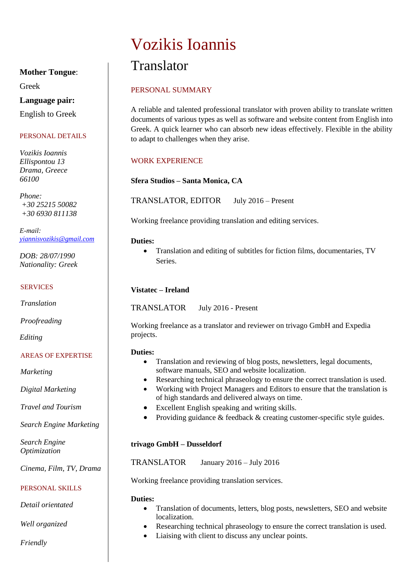# Vozikis Ioannis

# Translator

# PERSONAL SUMMARY

A reliable and talented professional translator with proven ability to translate written documents of various types as well as software and website content from English into Greek. A quick learner who can absorb new ideas effectively. Flexible in the ability to adapt to challenges when they arise.

## WORK EXPERIENCE

**Sfera Studios – Santa Monica, CA**

TRANSLATOR, EDITOR July 2016 – Present

Working freelance providing translation and editing services.

#### **Duties:**

 Translation and editing of subtitles for fiction films, documentaries, TV **Series**.

#### **Vistatec – Ireland**

TRANSLATOR July 2016 - Present

Working freelance as a translator and reviewer on trivago GmbH and Expedia projects.

#### **Duties:**

- Translation and reviewing of blog posts, newsletters, legal documents, software manuals, SEO and website localization.
- Researching technical phraseology to ensure the correct translation is used.
- Working with Project Managers and Editors to ensure that the translation is of high standards and delivered always on time.
- Excellent English speaking and writing skills.
- Providing guidance  $&$  feedback  $&$  creating customer-specific style guides.

#### **trivago GmbH – Dusseldorf**

TRANSLATOR January 2016 – July 2016

Working freelance providing translation services.

#### **Duties:**

- Translation of documents, letters, blog posts, newsletters, SEO and website localization.
- Researching technical phraseology to ensure the correct translation is used.
- Liaising with client to discuss any unclear points.

# **Mother Tongue**:

Greek

## **Language pair:**

English to Greek

#### PERSONAL DETAILS

*Vozikis Ioannis Ellispontou 13 Drama, Greece 66100*

*Phone: +30 25215 50082 +30 6930 811138*

*E-mail: [yiannisvozikis@gmail.com](mailto:yiannisvozikis@gmail.com)*

*DOB: 28/07/1990 Nationality: Greek*

#### SERVICES

*Translation*

*Proofreading*

*Editing*

#### AREAS OF EXPERTISE

*Marketing*

*Digital Marketing*

*Travel and Tourism*

*Search Engine Marketing*

*Search Engine Optimization*

*Cinema, Film, TV, Drama*

#### PERSONAL SKILLS

*Detail orientated*

*Well organized*

*Friendly*